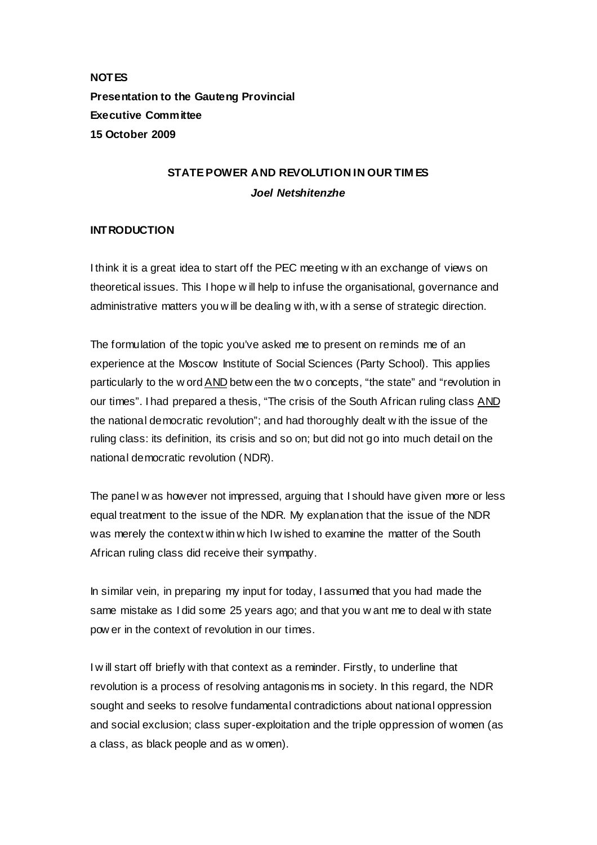**NOTES Presentation to the Gauteng Provincial Executive Committee 15 October 2009** 

# **STATE POWER AND REVOLUTION IN OUR TIM ES**  *Joel Netshitenzhe*

## **INTRODUCTION**

I think it is a great idea to start off the PEC meeting w ith an exchange of views on theoretical issues. This I hope w ill help to infuse the organisational, governance and administrative matters you w ill be dealing w ith, w ith a sense of strategic direction.

The formulation of the topic you've asked me to present on reminds me of an experience at the Moscow Institute of Social Sciences (Party School). This applies particularly to the w ord AND betw een the tw o concepts, "the state" and "revolution in our times". I had prepared a thesis, "The crisis of the South African ruling class AND the national democratic revolution"; and had thoroughly dealt w ith the issue of the ruling class: its definition, its crisis and so on; but did not go into much detail on the national democratic revolution (NDR).

The panel w as however not impressed, arguing that I should have given more or less equal treatment to the issue of the NDR. My explanation that the issue of the NDR was merely the context w ithin w hich I w ished to examine the matter of the South African ruling class did receive their sympathy.

In similar vein, in preparing my input for today, I assumed that you had made the same mistake as I did some 25 years ago; and that you w ant me to deal w ith state pow er in the context of revolution in our times.

I w ill start off briefly with that context as a reminder. Firstly, to underline that revolution is a process of resolving antagonisms in society. In this regard, the NDR sought and seeks to resolve fundamental contradictions about national oppression and social exclusion; class super-exploitation and the triple oppression of women (as a class, as black people and as w omen).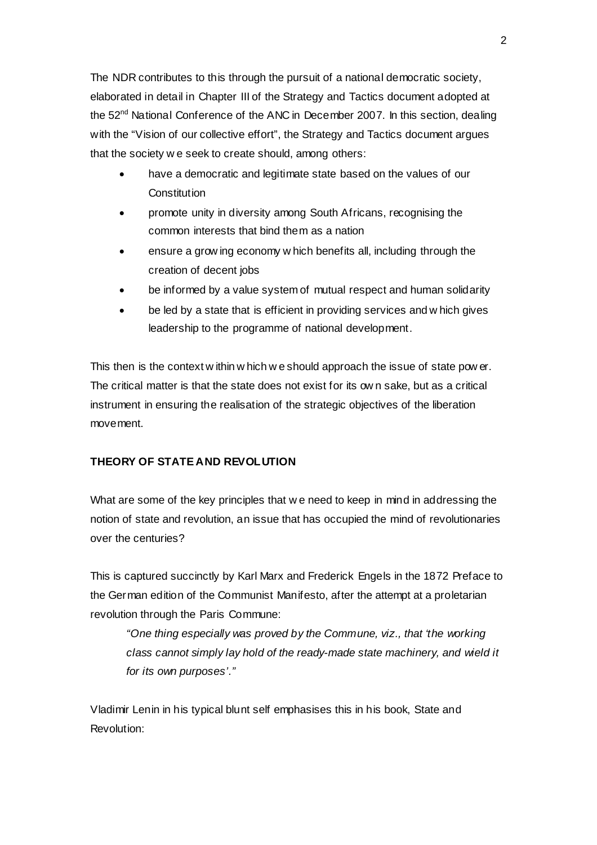The NDR contributes to this through the pursuit of a national democratic society, elaborated in detail in Chapter III of the Strategy and Tactics document adopted at the 52<sup>nd</sup> National Conference of the ANC in December 2007. In this section, dealing with the "Vision of our collective effort", the Strategy and Tactics document argues that the society w e seek to create should, among others:

- have a democratic and legitimate state based on the values of our **Constitution**
- promote unity in diversity among South Africans, recognising the common interests that bind them as a nation
- ensure a grow ing economy w hich benefits all, including through the creation of decent jobs
- be informed by a value system of mutual respect and human solidarity
- be led by a state that is efficient in providing services and w hich gives leadership to the programme of national development.

This then is the context w ithin w hich w e should approach the issue of state pow er. The critical matter is that the state does not exist for its ow n sake, but as a critical instrument in ensuring the realisation of the strategic objectives of the liberation movement.

## **THEORY OF STATE AND REVOLUTION**

What are some of the key principles that w e need to keep in mind in addressing the notion of state and revolution, an issue that has occupied the mind of revolutionaries over the centuries?

This is captured succinctly by Karl Marx and Frederick Engels in the 1872 Preface to the German edition of the Communist Manifesto, after the attempt at a proletarian revolution through the Paris Commune:

*"One thing especially was proved by the Commune, viz., that 'the working class cannot simply lay hold of the ready-made state machinery, and wield it for its own purposes'."* 

Vladimir Lenin in his typical blunt self emphasises this in his book, State and Revolution: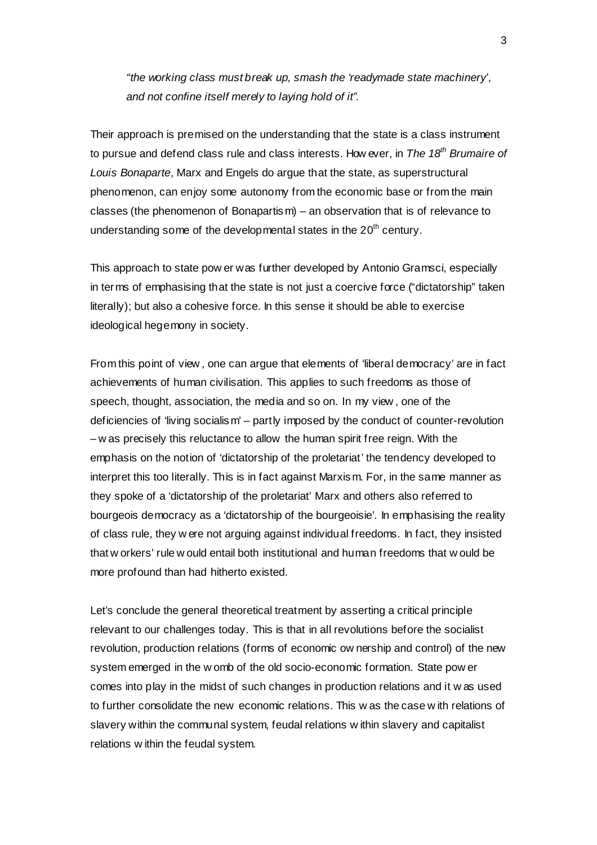*"the working class must break up, smash the 'readymade state machinery', and not confine itself merely to laying hold of it".* 

Their approach is premised on the understanding that the state is a class instrument to pursue and defend class rule and class interests. How ever, in *The 18th Brumaire of Louis Bonaparte*, Marx and Engels do argue that the state, as superstructural phenomenon, can enjoy some autonomy from the economic base or from the main classes (the phenomenon of Bonapartism) – an observation that is of relevance to understanding some of the developmental states in the  $20<sup>th</sup>$  century.

This approach to state pow er was further developed by Antonio Gramsci, especially in terms of emphasising that the state is not just a coercive force ("dictatorship" taken literally); but also a cohesive force. In this sense it should be able to exercise ideological hegemony in society.

From this point of view , one can argue that elements of 'liberal democracy' are in fact achievements of human civilisation. This applies to such freedoms as those of speech, thought, association, the media and so on. In my view , one of the deficiencies of 'living socialism' – partly imposed by the conduct of counter-revolution – w as precisely this reluctance to allow the human spirit free reign. With the emphasis on the notion of 'dictatorship of the proletariat' the tendency developed to interpret this too literally. This is in fact against Marxism. For, in the same manner as they spoke of a 'dictatorship of the proletariat' Marx and others also referred to bourgeois democracy as a 'dictatorship of the bourgeoisie'. In emphasising the reality of class rule, they w ere not arguing against individual freedoms. In fact, they insisted that w orkers' rule w ould entail both institutional and human freedoms that w ould be more profound than had hitherto existed.

Let's conclude the general theoretical treatment by asserting a critical principle relevant to our challenges today. This is that in all revolutions before the socialist revolution, production relations (forms of economic ow nership and control) of the new system emerged in the w omb of the old socio-economic formation. State pow er comes into play in the midst of such changes in production relations and it w as used to further consolidate the new economic relations. This w as the case w ith relations of slavery within the communal system, feudal relations w ithin slavery and capitalist relations w ithin the feudal system.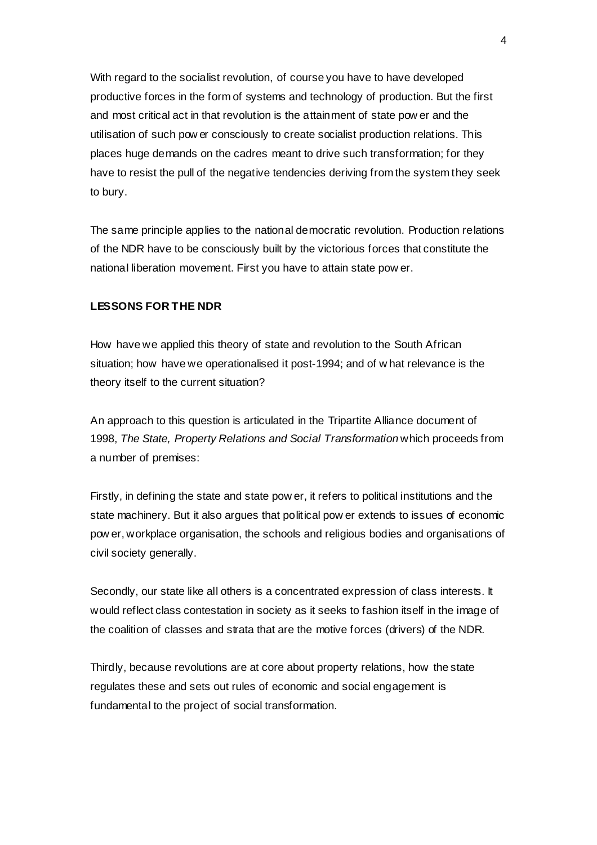With regard to the socialist revolution, of course you have to have developed productive forces in the form of systems and technology of production. But the first and most critical act in that revolution is the attainment of state pow er and the utilisation of such pow er consciously to create socialist production relations. This places huge demands on the cadres meant to drive such transformation; for they have to resist the pull of the negative tendencies deriving from the system they seek to bury.

The same principle applies to the national democratic revolution. Production relations of the NDR have to be consciously built by the victorious forces that constitute the national liberation movement. First you have to attain state pow er.

#### **LESSONS FOR THE NDR**

How have we applied this theory of state and revolution to the South African situation; how have we operationalised it post-1994; and of w hat relevance is the theory itself to the current situation?

An approach to this question is articulated in the Tripartite Alliance document of 1998, *The State, Property Relations and Social Transformation* which proceeds from a number of premises:

Firstly, in defining the state and state pow er, it refers to political institutions and the state machinery. But it also argues that political pow er extends to issues of economic pow er, workplace organisation, the schools and religious bodies and organisations of civil society generally.

Secondly, our state like all others is a concentrated expression of class interests. It would reflect class contestation in society as it seeks to fashion itself in the image of the coalition of classes and strata that are the motive forces (drivers) of the NDR.

Thirdly, because revolutions are at core about property relations, how the state regulates these and sets out rules of economic and social engagement is fundamental to the project of social transformation.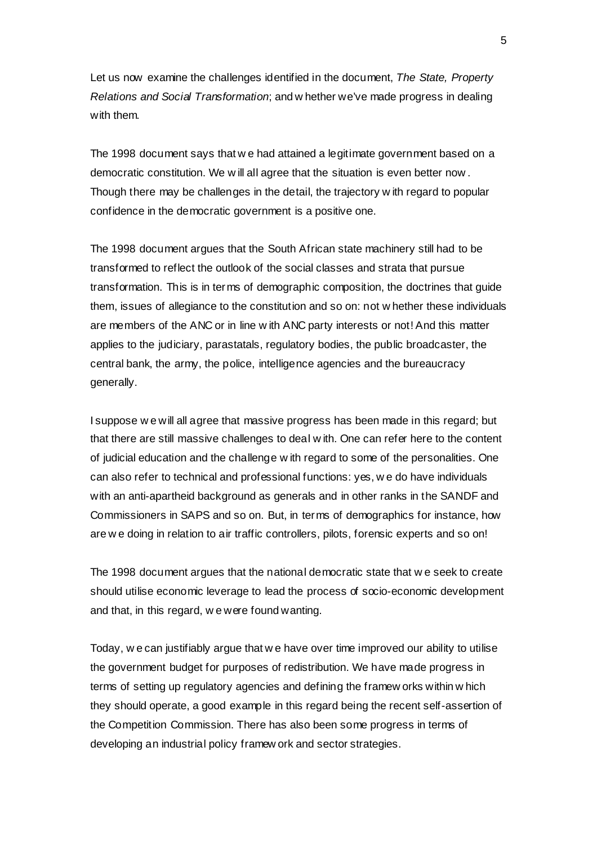Let us now examine the challenges identified in the document, *The State, Property Relations and Social Transformation*; and w hether we've made progress in dealing with them.

The 1998 document says that w e had attained a legitimate government based on a democratic constitution. We w ill all agree that the situation is even better now . Though there may be challenges in the detail, the trajectory w ith regard to popular confidence in the democratic government is a positive one.

The 1998 document argues that the South African state machinery still had to be transformed to reflect the outlook of the social classes and strata that pursue transformation. This is in terms of demographic composition, the doctrines that guide them, issues of allegiance to the constitution and so on: not w hether these individuals are members of the ANC or in line w ith ANC party interests or not! And this matter applies to the judiciary, parastatals, regulatory bodies, the public broadcaster, the central bank, the army, the police, intelligence agencies and the bureaucracy generally.

I suppose w e will all agree that massive progress has been made in this regard; but that there are still massive challenges to deal w ith. One can refer here to the content of judicial education and the challenge w ith regard to some of the personalities. One can also refer to technical and professional functions: yes, w e do have individuals with an anti-apartheid background as generals and in other ranks in the SANDF and Commissioners in SAPS and so on. But, in terms of demographics for instance, how are w e doing in relation to air traffic controllers, pilots, forensic experts and so on!

The 1998 document argues that the national democratic state that w e seek to create should utilise economic leverage to lead the process of socio-economic development and that, in this regard, w e were found wanting.

Today, w e can justifiably argue that w e have over time improved our ability to utilise the government budget for purposes of redistribution. We have made progress in terms of setting up regulatory agencies and defining the framew orks within w hich they should operate, a good example in this regard being the recent self-assertion of the Competition Commission. There has also been some progress in terms of developing an industrial policy framew ork and sector strategies.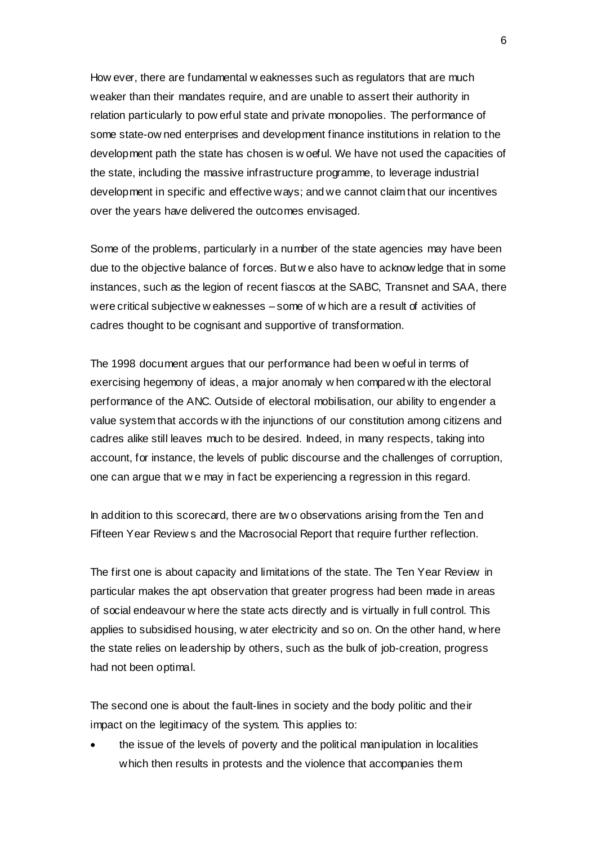How ever, there are fundamental w eaknesses such as regulators that are much weaker than their mandates require, and are unable to assert their authority in relation particularly to pow erful state and private monopolies. The performance of some state-ow ned enterprises and development finance institutions in relation to the development path the state has chosen is w oeful. We have not used the capacities of the state, including the massive infrastructure programme, to leverage industrial development in specific and effective ways; and we cannot claim that our incentives over the years have delivered the outcomes envisaged.

Some of the problems, particularly in a number of the state agencies may have been due to the objective balance of forces. But w e also have to acknow ledge that in some instances, such as the legion of recent fiascos at the SABC, Transnet and SAA, there were critical subjective w eaknesses – some of w hich are a result of activities of cadres thought to be cognisant and supportive of transformation.

The 1998 document argues that our performance had been w oeful in terms of exercising hegemony of ideas, a major anomaly w hen compared w ith the electoral performance of the ANC. Outside of electoral mobilisation, our ability to engender a value system that accords w ith the injunctions of our constitution among citizens and cadres alike still leaves much to be desired. Indeed, in many respects, taking into account, for instance, the levels of public discourse and the challenges of corruption, one can argue that w e may in fact be experiencing a regression in this regard.

In addition to this scorecard, there are tw o observations arising from the Ten and Fifteen Year Review s and the Macrosocial Report that require further reflection.

The first one is about capacity and limitations of the state. The Ten Year Review in particular makes the apt observation that greater progress had been made in areas of social endeavour w here the state acts directly and is virtually in full control. This applies to subsidised housing, w ater electricity and so on. On the other hand, w here the state relies on leadership by others, such as the bulk of job-creation, progress had not been optimal.

The second one is about the fault-lines in society and the body politic and their impact on the legitimacy of the system. This applies to:

• the issue of the levels of poverty and the political manipulation in localities which then results in protests and the violence that accompanies them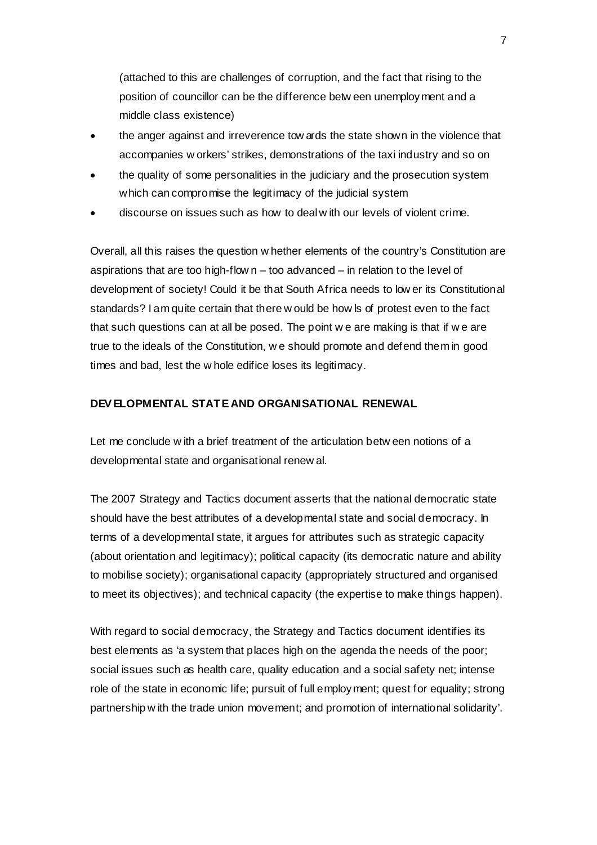(attached to this are challenges of corruption, and the fact that rising to the position of councillor can be the difference betw een unemployment and a middle class existence)

- the anger against and irreverence tow ards the state shown in the violence that accompanies w orkers' strikes, demonstrations of the taxi industry and so on
- the quality of some personalities in the judiciary and the prosecution system which can compromise the legitimacy of the judicial system
- discourse on issues such as how to deal w ith our levels of violent crime.

Overall, all this raises the question w hether elements of the country's Constitution are aspirations that are too high-flow  $n -$  too advanced  $-$  in relation to the level of development of society! Could it be that South Africa needs to low er its Constitutional standards? I am quite certain that there w ould be how ls of protest even to the fact that such questions can at all be posed. The point w e are making is that if w e are true to the ideals of the Constitution, w e should promote and defend them in good times and bad, lest the w hole edifice loses its legitimacy.

### **DEV ELOPMENTAL STATE AND ORGANISATIONAL RENEWAL**

Let me conclude w ith a brief treatment of the articulation betw een notions of a developmental state and organisational renew al.

The 2007 Strategy and Tactics document asserts that the national democratic state should have the best attributes of a developmental state and social democracy. In terms of a developmental state, it argues for attributes such as strategic capacity (about orientation and legitimacy); political capacity (its democratic nature and ability to mobilise society); organisational capacity (appropriately structured and organised to meet its objectives); and technical capacity (the expertise to make things happen).

With regard to social democracy, the Strategy and Tactics document identifies its best elements as 'a system that places high on the agenda the needs of the poor; social issues such as health care, quality education and a social safety net; intense role of the state in economic life; pursuit of full employment; quest for equality; strong partnership w ith the trade union movement; and promotion of international solidarity'.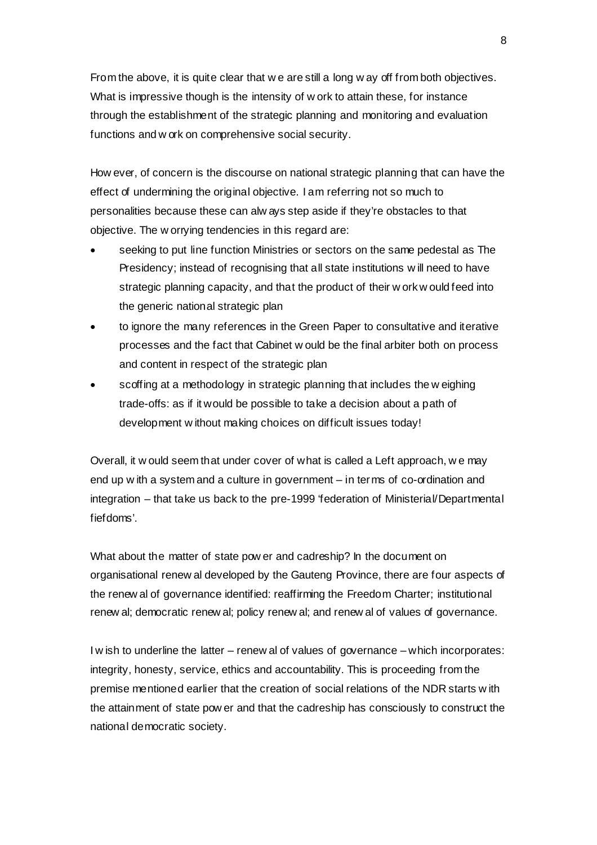From the above, it is quite clear that w e are still a long w ay off from both objectives. What is impressive though is the intensity of w ork to attain these, for instance through the establishment of the strategic planning and monitoring and evaluation functions and w ork on comprehensive social security.

How ever, of concern is the discourse on national strategic planning that can have the effect of undermining the original objective. I am referring not so much to personalities because these can alw ays step aside if they're obstacles to that objective. The w orrying tendencies in this regard are:

- seeking to put line function Ministries or sectors on the same pedestal as The Presidency; instead of recognising that all state institutions w ill need to have strategic planning capacity, and that the product of their w ork w ould feed into the generic national strategic plan
- to ignore the many references in the Green Paper to consultative and iterative processes and the fact that Cabinet w ould be the final arbiter both on process and content in respect of the strategic plan
- scoffing at a methodology in strategic planning that includes the w eighing trade-offs: as if it would be possible to take a decision about a path of development w ithout making choices on difficult issues today!

Overall, it w ould seem that under cover of what is called a Left approach, w e may end up w ith a system and a culture in government – in terms of co-ordination and integration – that take us back to the pre-1999 'federation of Ministerial/Departmental fiefdoms'.

What about the matter of state pow er and cadreship? In the document on organisational renew al developed by the Gauteng Province, there are four aspects of the renew al of governance identified: reaffirming the Freedom Charter; institutional renew al; democratic renew al; policy renew al; and renew al of values of governance.

I w ish to underline the latter – renew al of values of governance – which incorporates: integrity, honesty, service, ethics and accountability. This is proceeding from the premise mentioned earlier that the creation of social relations of the NDR starts w ith the attainment of state pow er and that the cadreship has consciously to construct the national democratic society.